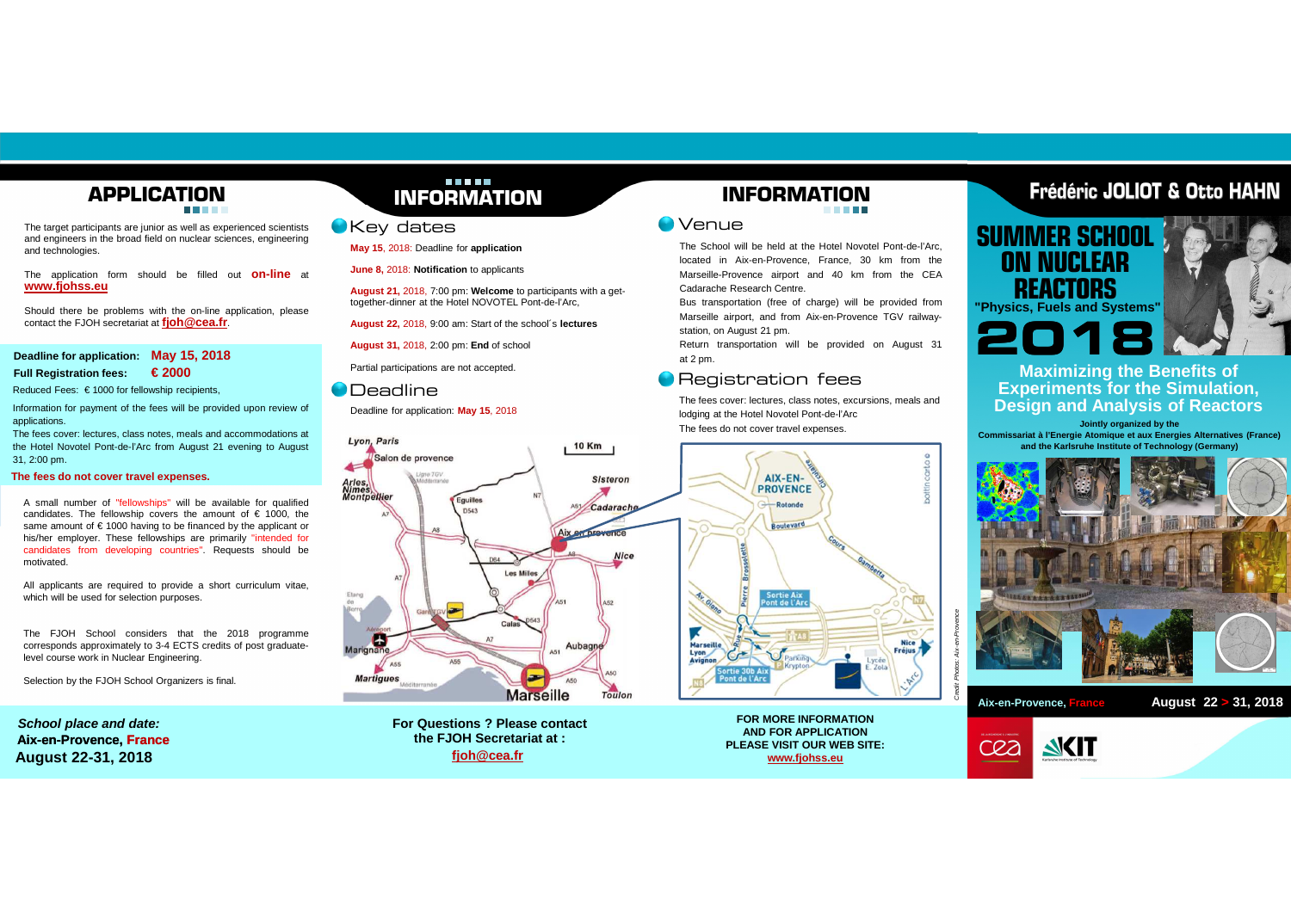# **APPLICATION**

The target participants are junior as well as experienced scientists and engineers in the broad field on nuclear sciences, engineeringand technologies.

The application form should be filled out **on-line** at **www.fjohss.eu**

Should there be problems with the on-line application, pleasecontact the FJOH secretariat at **fjoh@cea.fr**.

### **Deadline for application: May 15, 2018Full Registration fees: € 2000**

Reduced Fees: € 1000 for fellowship recipients,

Information for payment of the fees will be provided upon review of applications.

 The fees cover: lectures, class notes, meals and accommodations at the Hotel Novotel Pont-de-l'Arc from August <sup>21</sup> evening to August 31, 2:00 pm.

### **The fees do not cover travel expenses.**

A small number of "fellowships" will be available for qualified candidates. The fellowship covers the amount of € 1000, the same amount of € 1000 having to be financed by the applicant orhis/her employer. These fellowships are primarily "intended for candidates from developing countries". Requests should bemotivated.

All applicants are required to provide <sup>a</sup> short curriculum vitae, which will be used for selection purposes.

The FJOH School considers that the 2018 programme corresponds approximately to 3-4 ECTS credits of post graduatelevel course work in Nuclear Engineering.

Selection by the FJOH School Organizers is final.

**Aix-en-Provence, France School place and date:August 22-31, 2018**

# <u> Die Britische Britische </u> **INFORMATION**

### Key dates

**May 15**, 2018: Deadline for **application**

**June 8,** 2018: **Notification** to applicants

**August 21,** 2018, 7:00 pm: **Welcome** to participants with <sup>a</sup> gettogether-dinner at the Hotel NOVOTEL Pont-de-l'Arc,

**August 22,** 2018, 9:00 am: Start of the school´s **lectures**

**August 31,** 2018, 2:00 pm: **End** of school

Partial participations are not accepted.

### **O** Deadline

Deadline for application: **May 15**, 2018



**For Questions ? Please contactthe FJOH Secretariat at :fjoh@cea.fr**

**FOR MORE INFORMATION AND FOR APPLICATION PLEASE VISIT OUR WEB SITE:www.fjohss.eu**

Parking

Nice<br>Fréjus

ycée

### **INFORMATIONCONTRACTOR**

### Venue

 The School will be held at the Hotel Novotel Pont-de-l'Arc, located in Aix-en-Provence, France, 30 km from the Marseille-Provence airport and 40 km from the CEACadarache Research Centre.

Bus transportation (free of charge) will be provided from Marseille airport, and from Aix-en-Provence TGV railwaystation, on August 21 pm.

Return transportation will be provided on August 31at 2 pm.

# **• Registration fees**

 The fees cover: lectures, class notes, excursions, meals andlodging at the Hotel Novotel Pont-de-l'ArcThe fees do not cover travel expenses.

AIX-EN-

**PROVENCE** 

-Rotonde

Boutevard

Sortie Ai<mark>p</mark><br>ont de l'A

Pierre

**Marseil** Lyon<br>Avignon



**SUMMER SCHOOLON NUCLEAR REACTORS"Physics, Fuels and Systems"**